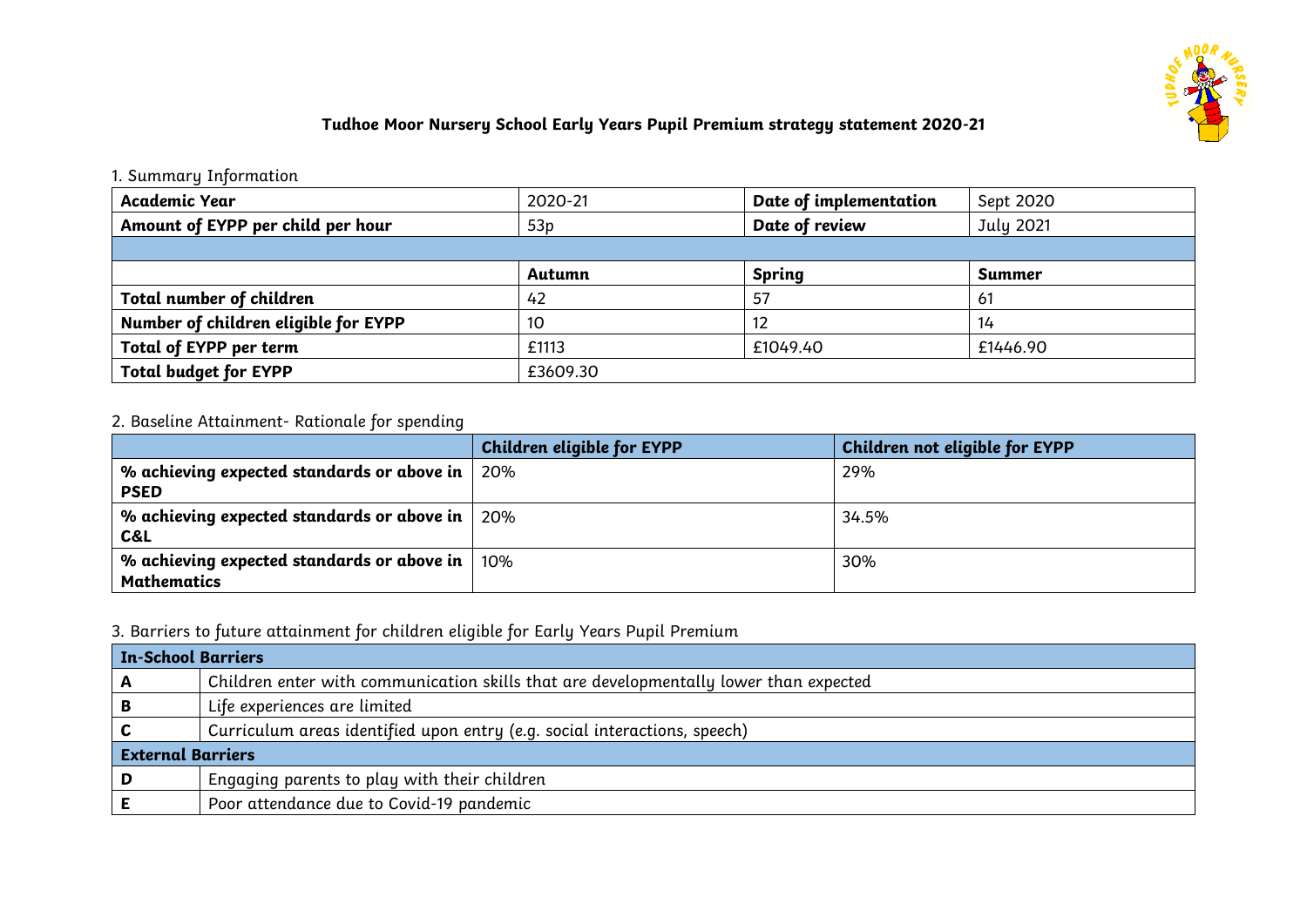

# **Tudhoe Moor Nursery School Early Years Pupil Premium strategy statement 2020-21**

### 1. Summary Information

| Academic Year                        | 2020-21  | Date of implementation | Sept 2020 |
|--------------------------------------|----------|------------------------|-----------|
| Amount of EYPP per child per hour    | 53p      | Date of review         | July 2021 |
|                                      |          |                        |           |
|                                      | Autumn   | <b>Spring</b>          | Summer    |
| Total number of children             | 42       | 57                     | 61        |
| Number of children eligible for EYPP | 10       |                        | 14        |
| Total of EYPP per term               | £1113    | £1049.40               | £1446.90  |
| <b>Total budget for EYPP</b>         | £3609.30 |                        |           |

# 2. Baseline Attainment- Rationale for spending

|                                                                           | Children eligible for EYPP | Children not eligible for EYPP |
|---------------------------------------------------------------------------|----------------------------|--------------------------------|
| % achieving expected standards or above in $\vert$ 20%<br><b>PSED</b>     |                            | 29%                            |
| % achieving expected standards or above in $\vert$ 20%<br>C&L             |                            | 34.5%                          |
| % achieving expected standards or above in $ 10\% $<br><b>Mathematics</b> |                            | 30%                            |

# 3. Barriers to future attainment for children eligible for Early Years Pupil Premium

| <b>In-School Barriers</b> |                                                                                       |  |
|---------------------------|---------------------------------------------------------------------------------------|--|
| A                         | Children enter with communication skills that are developmentally lower than expected |  |
| B                         | Life experiences are limited                                                          |  |
|                           | Curriculum areas identified upon entry (e.g. social interactions, speech)             |  |
| <b>External Barriers</b>  |                                                                                       |  |
| D                         | Engaging parents to play with their children                                          |  |
|                           | Poor attendance due to Covid-19 pandemic                                              |  |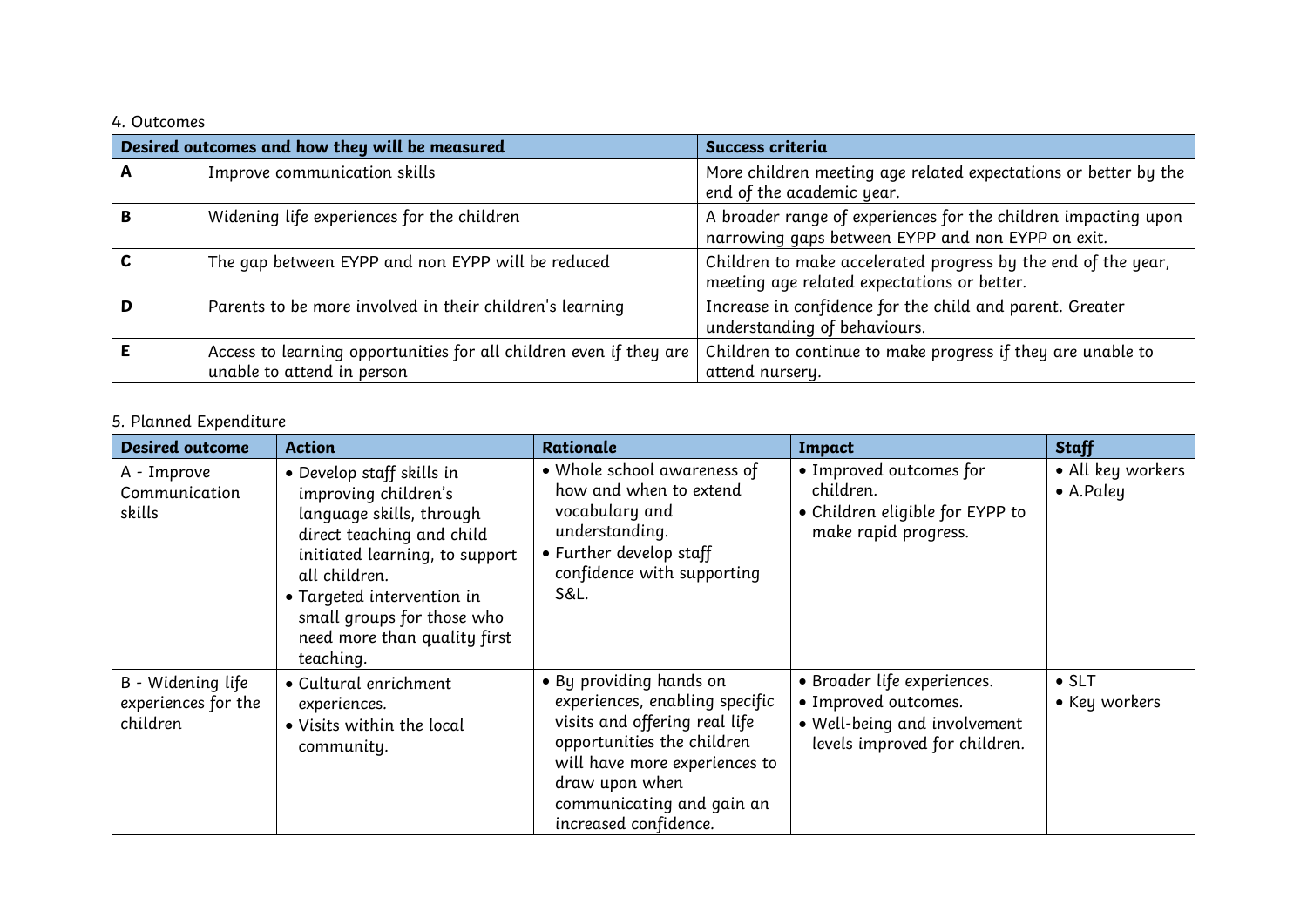### 4. Outcomes

|   | Desired outcomes and how they will be measured                                                   | Success criteria                                                                                                    |
|---|--------------------------------------------------------------------------------------------------|---------------------------------------------------------------------------------------------------------------------|
| A | Improve communication skills                                                                     | More children meeting age related expectations or better by the<br>end of the academic year.                        |
|   | Widening life experiences for the children                                                       | A broader range of experiences for the children impacting upon<br>narrowing gaps between EYPP and non EYPP on exit. |
|   | The gap between EYPP and non EYPP will be reduced                                                | Children to make accelerated progress by the end of the year,<br>meeting age related expectations or better.        |
|   | Parents to be more involved in their children's learning                                         | Increase in confidence for the child and parent. Greater<br>understanding of behaviours.                            |
|   | Access to learning opportunities for all children even if they are<br>unable to attend in person | Children to continue to make progress if they are unable to<br>attend nursery.                                      |

# 5. Planned Expenditure

| <b>Desired outcome</b>                               | <b>Action</b>                                                                                                                                                                                                                                                          | <b>Rationale</b>                                                                                                                                                                                                                  | Impact                                                                                                               | <b>Staff</b>                           |
|------------------------------------------------------|------------------------------------------------------------------------------------------------------------------------------------------------------------------------------------------------------------------------------------------------------------------------|-----------------------------------------------------------------------------------------------------------------------------------------------------------------------------------------------------------------------------------|----------------------------------------------------------------------------------------------------------------------|----------------------------------------|
| A - Improve<br>Communication<br>skills               | • Develop staff skills in<br>improving children's<br>language skills, through<br>direct teaching and child<br>initiated learning, to support<br>all children.<br>• Targeted intervention in<br>small groups for those who<br>need more than quality first<br>teaching. | • Whole school awareness of<br>how and when to extend<br>vocabulary and<br>understanding.<br>• Further develop staff<br>confidence with supporting<br>S&L.                                                                        | • Improved outcomes for<br>children.<br>• Children eligible for EYPP to<br>make rapid progress.                      | • All key workers<br>$\bullet$ A.Paley |
| B - Widening life<br>experiences for the<br>children | • Cultural enrichment<br>experiences.<br>. Visits within the local<br>community.                                                                                                                                                                                       | . By providing hands on<br>experiences, enabling specific<br>visits and offering real life<br>opportunities the children<br>will have more experiences to<br>draw upon when<br>communicating and gain an<br>increased confidence. | · Broader life experiences.<br>• Improved outcomes.<br>• Well-being and involvement<br>levels improved for children. | $\bullet$ SLT<br>• Key workers         |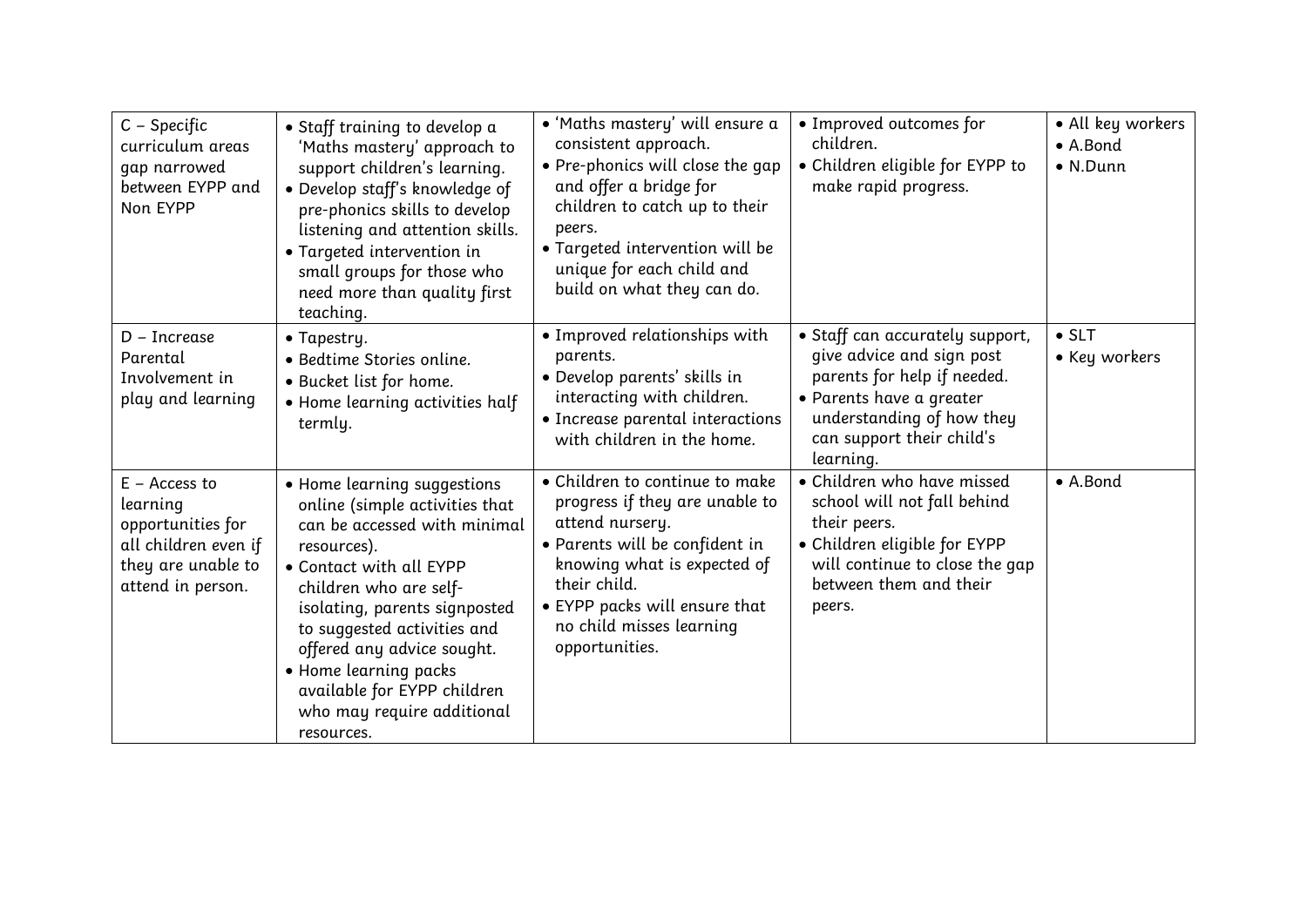| $C - Specific$<br>curriculum areas<br>gap narrowed<br>between EYPP and<br>Non EYPP                                  | · Staff training to develop a<br>'Maths mastery' approach to<br>support children's learning.<br>· Develop staff's knowledge of<br>pre-phonics skills to develop<br>listening and attention skills.<br>• Targeted intervention in<br>small groups for those who<br>need more than quality first<br>teaching.                                                         | · 'Maths mastery' will ensure a<br>consistent approach.<br>• Pre-phonics will close the gap<br>and offer a bridge for<br>children to catch up to their<br>peers.<br>• Targeted intervention will be<br>unique for each child and<br>build on what they can do. | • Improved outcomes for<br>children.<br>· Children eligible for EYPP to<br>make rapid progress.                                                                                                | • All key workers<br>• A.Bond<br>$\bullet$ N.Dunn |
|---------------------------------------------------------------------------------------------------------------------|---------------------------------------------------------------------------------------------------------------------------------------------------------------------------------------------------------------------------------------------------------------------------------------------------------------------------------------------------------------------|----------------------------------------------------------------------------------------------------------------------------------------------------------------------------------------------------------------------------------------------------------------|------------------------------------------------------------------------------------------------------------------------------------------------------------------------------------------------|---------------------------------------------------|
| $D$ – Increase<br>Parental<br>Involvement in<br>play and learning                                                   | $\bullet$ Tapestry.<br>• Bedtime Stories online.<br>• Bucket list for home.<br>• Home learning activities half<br>termly.                                                                                                                                                                                                                                           | • Improved relationships with<br>parents.<br>• Develop parents' skills in<br>interacting with children.<br>• Increase parental interactions<br>with children in the home.                                                                                      | • Staff can accurately support,<br>give advice and sign post<br>parents for help if needed.<br>· Parents have a greater<br>understanding of how they<br>can support their child's<br>learning. | $\bullet$ SLT<br>• Key workers                    |
| $E -$ Access to<br>learning<br>opportunities for<br>all children even if<br>they are unable to<br>attend in person. | • Home learning suggestions<br>online (simple activities that<br>can be accessed with minimal<br>resources).<br>• Contact with all EYPP<br>children who are self-<br>isolating, parents signposted<br>to suggested activities and<br>offered any advice sought.<br>· Home learning packs<br>available for EYPP children<br>who may require additional<br>resources. | • Children to continue to make<br>progress if they are unable to<br>attend nursery.<br>• Parents will be confident in<br>knowing what is expected of<br>their child.<br>• EYPP packs will ensure that<br>no child misses learning<br>opportunities.            | • Children who have missed<br>school will not fall behind<br>their peers.<br>· Children eligible for EYPP<br>will continue to close the gap<br>between them and their<br>peers.                | • A.Bond                                          |